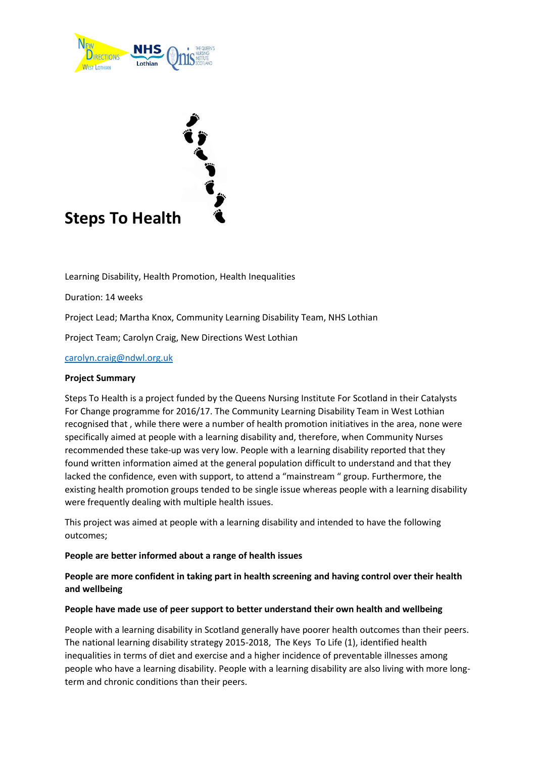

# **Steps To Health**

Learning Disability, Health Promotion, Health Inequalities

Duration: 14 weeks

Project Lead; Martha Knox, Community Learning Disability Team, NHS Lothian

Project Team; Carolyn Craig, New Directions West Lothian

[carolyn.craig@ndwl.org.uk](mailto:carolyn.craig@ndwl.org.uk)

#### **Project Summary**

Steps To Health is a project funded by the Queens Nursing Institute For Scotland in their Catalysts For Change programme for 2016/17. The Community Learning Disability Team in West Lothian recognised that , while there were a number of health promotion initiatives in the area, none were specifically aimed at people with a learning disability and, therefore, when Community Nurses recommended these take-up was very low. People with a learning disability reported that they found written information aimed at the general population difficult to understand and that they lacked the confidence, even with support, to attend a "mainstream " group. Furthermore, the existing health promotion groups tended to be single issue whereas people with a learning disability were frequently dealing with multiple health issues.

This project was aimed at people with a learning disability and intended to have the following outcomes;

#### **People are better informed about a range of health issues**

# **People are more confident in taking part in health screening and having control over their health and wellbeing**

#### **People have made use of peer support to better understand their own health and wellbeing**

People with a learning disability in Scotland generally have poorer health outcomes than their peers. The national learning disability strategy 2015-2018, The Keys To Life (1), identified health inequalities in terms of diet and exercise and a higher incidence of preventable illnesses among people who have a learning disability. People with a learning disability are also living with more longterm and chronic conditions than their peers.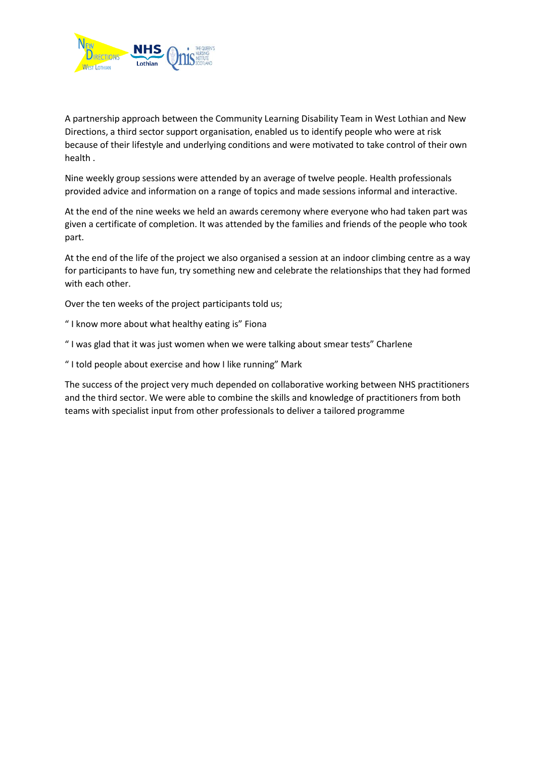

A partnership approach between the Community Learning Disability Team in West Lothian and New Directions, a third sector support organisation, enabled us to identify people who were at risk because of their lifestyle and underlying conditions and were motivated to take control of their own health .

Nine weekly group sessions were attended by an average of twelve people. Health professionals provided advice and information on a range of topics and made sessions informal and interactive.

At the end of the nine weeks we held an awards ceremony where everyone who had taken part was given a certificate of completion. It was attended by the families and friends of the people who took part.

At the end of the life of the project we also organised a session at an indoor climbing centre as a way for participants to have fun, try something new and celebrate the relationships that they had formed with each other.

Over the ten weeks of the project participants told us;

- " I know more about what healthy eating is" Fiona
- " I was glad that it was just women when we were talking about smear tests" Charlene
- " I told people about exercise and how I like running" Mark

The success of the project very much depended on collaborative working between NHS practitioners and the third sector. We were able to combine the skills and knowledge of practitioners from both teams with specialist input from other professionals to deliver a tailored programme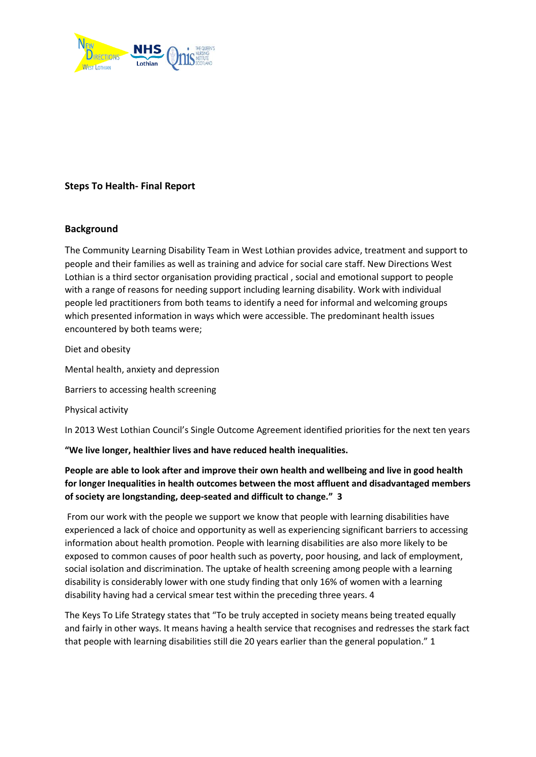

# **Steps To Health- Final Report**

### **Background**

The Community Learning Disability Team in West Lothian provides advice, treatment and support to people and their families as well as training and advice for social care staff. New Directions West Lothian is a third sector organisation providing practical , social and emotional support to people with a range of reasons for needing support including learning disability. Work with individual people led practitioners from both teams to identify a need for informal and welcoming groups which presented information in ways which were accessible. The predominant health issues encountered by both teams were;

Diet and obesity

Mental health, anxiety and depression

Barriers to accessing health screening

Physical activity

In 2013 West Lothian Council's Single Outcome Agreement identified priorities for the next ten years

**"We live longer, healthier lives and have reduced health inequalities.**

# **People are able to look after and improve their own health and wellbeing and live in good health for longer Inequalities in health outcomes between the most affluent and disadvantaged members of society are longstanding, deep-seated and difficult to change." 3**

From our work with the people we support we know that people with learning disabilities have experienced a lack of choice and opportunity as well as experiencing significant barriers to accessing information about health promotion. People with learning disabilities are also more likely to be exposed to common causes of poor health such as poverty, poor housing, and lack of employment, social isolation and discrimination. The uptake of health screening among people with a learning disability is considerably lower with one study finding that only 16% of women with a learning disability having had a cervical smear test within the preceding three years. 4

The Keys To Life Strategy states that "To be truly accepted in society means being treated equally and fairly in other ways. It means having a health service that recognises and redresses the stark fact that people with learning disabilities still die 20 years earlier than the general population." 1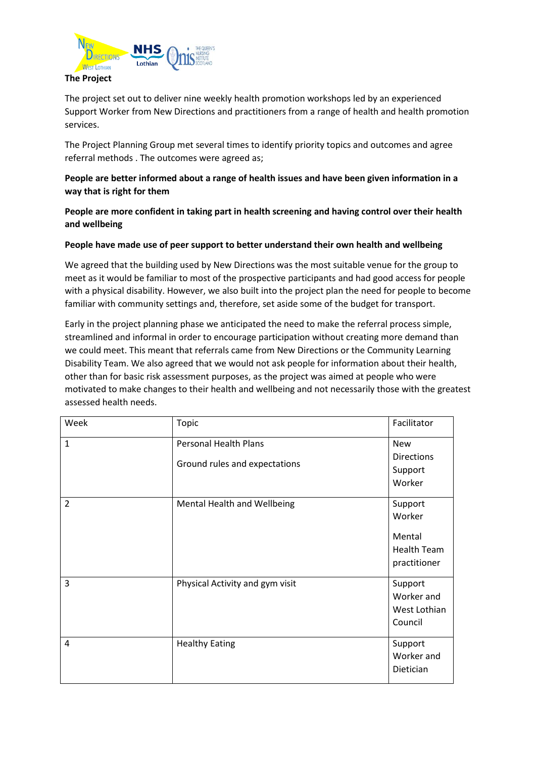

The project set out to deliver nine weekly health promotion workshops led by an experienced Support Worker from New Directions and practitioners from a range of health and health promotion services.

The Project Planning Group met several times to identify priority topics and outcomes and agree referral methods . The outcomes were agreed as;

## **People are better informed about a range of health issues and have been given information in a way that is right for them**

**People are more confident in taking part in health screening and having control over their health and wellbeing**

#### **People have made use of peer support to better understand their own health and wellbeing**

We agreed that the building used by New Directions was the most suitable venue for the group to meet as it would be familiar to most of the prospective participants and had good access for people with a physical disability. However, we also built into the project plan the need for people to become familiar with community settings and, therefore, set aside some of the budget for transport.

Early in the project planning phase we anticipated the need to make the referral process simple, streamlined and informal in order to encourage participation without creating more demand than we could meet. This meant that referrals came from New Directions or the Community Learning Disability Team. We also agreed that we would not ask people for information about their health, other than for basic risk assessment purposes, as the project was aimed at people who were motivated to make changes to their health and wellbeing and not necessarily those with the greatest assessed health needs.

| Week           | Topic                                                         | Facilitator                                                       |
|----------------|---------------------------------------------------------------|-------------------------------------------------------------------|
| $\mathbf{1}$   | <b>Personal Health Plans</b><br>Ground rules and expectations | <b>New</b><br><b>Directions</b><br>Support<br>Worker              |
| $\overline{2}$ | Mental Health and Wellbeing                                   | Support<br>Worker<br>Mental<br><b>Health Team</b><br>practitioner |
| 3              | Physical Activity and gym visit                               | Support<br>Worker and<br>West Lothian<br>Council                  |
| 4              | <b>Healthy Eating</b>                                         | Support<br>Worker and<br>Dietician                                |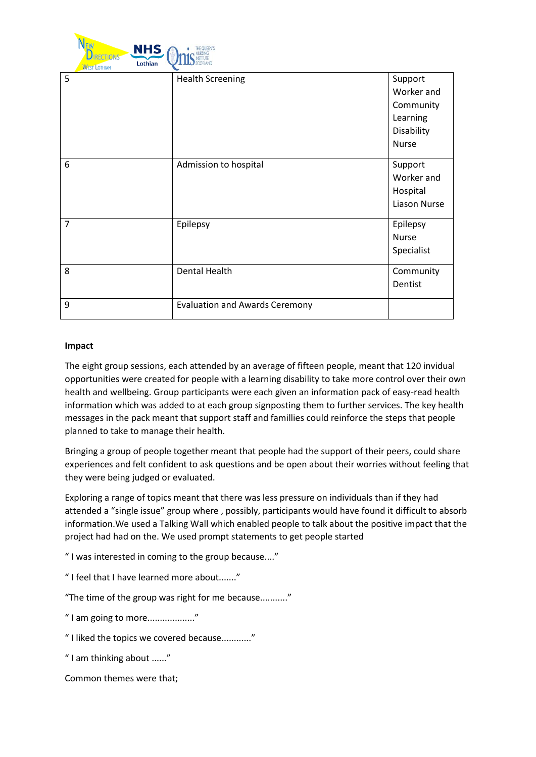

| <b>WEST LOTHIAN</b> |                                       |                     |
|---------------------|---------------------------------------|---------------------|
| 5                   | <b>Health Screening</b>               | Support             |
|                     |                                       | Worker and          |
|                     |                                       | Community           |
|                     |                                       | Learning            |
|                     |                                       | Disability          |
|                     |                                       | Nurse               |
|                     |                                       |                     |
| 6                   | Admission to hospital                 | Support             |
|                     |                                       | Worker and          |
|                     |                                       | Hospital            |
|                     |                                       | <b>Liason Nurse</b> |
| $\overline{7}$      | Epilepsy                              | Epilepsy            |
|                     |                                       | Nurse               |
|                     |                                       | Specialist          |
|                     |                                       |                     |
| 8                   | <b>Dental Health</b>                  | Community           |
|                     |                                       | Dentist             |
| 9                   | <b>Evaluation and Awards Ceremony</b> |                     |
|                     |                                       |                     |

#### **Impact**

The eight group sessions, each attended by an average of fifteen people, meant that 120 invidual opportunities were created for people with a learning disability to take more control over their own health and wellbeing. Group participants were each given an information pack of easy-read health information which was added to at each group signposting them to further services. The key health messages in the pack meant that support staff and famillies could reinforce the steps that people planned to take to manage their health.

Bringing a group of people together meant that people had the support of their peers, could share experiences and felt confident to ask questions and be open about their worries without feeling that they were being judged or evaluated.

Exploring a range of topics meant that there was less pressure on individuals than if they had attended a "single issue" group where , possibly, participants would have found it difficult to absorb information.We used a Talking Wall which enabled people to talk about the positive impact that the project had had on the. We used prompt statements to get people started

" I was interested in coming to the group because...."

" I feel that I have learned more about......."

"The time of the group was right for me because..........."

" I am going to more..................."

" I liked the topics we covered because............"

" I am thinking about ......"

Common themes were that;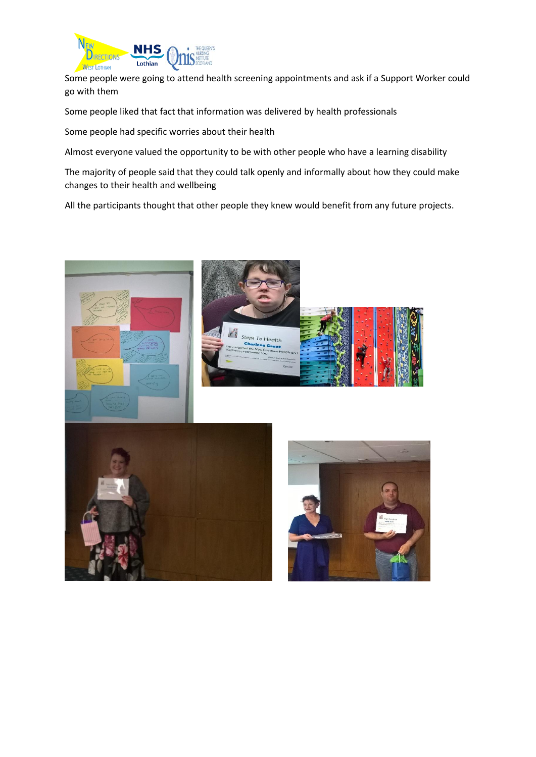

Some people were going to attend health screening appointments and ask if a Support Worker could go with them

Some people liked that fact that information was delivered by health professionals

Some people had specific worries about their health

Almost everyone valued the opportunity to be with other people who have a learning disability

The majority of people said that they could talk openly and informally about how they could make changes to their health and wellbeing

All the participants thought that other people they knew would benefit from any future projects.

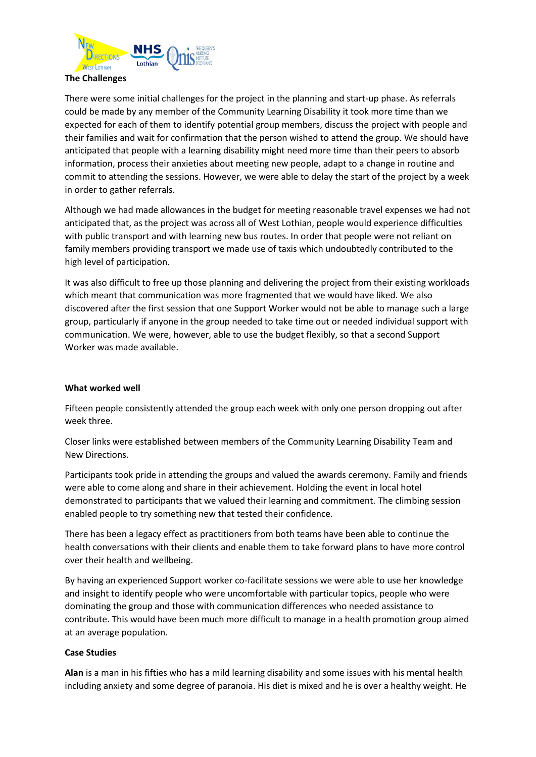

#### **The Challenges**

There were some initial challenges for the project in the planning and start-up phase. As referrals could be made by any member of the Community Learning Disability it took more time than we expected for each of them to identify potential group members, discuss the project with people and their families and wait for confirmation that the person wished to attend the group. We should have anticipated that people with a learning disability might need more time than their peers to absorb information, process their anxieties about meeting new people, adapt to a change in routine and commit to attending the sessions. However, we were able to delay the start of the project by a week in order to gather referrals.

Although we had made allowances in the budget for meeting reasonable travel expenses we had not anticipated that, as the project was across all of West Lothian, people would experience difficulties with public transport and with learning new bus routes. In order that people were not reliant on family members providing transport we made use of taxis which undoubtedly contributed to the high level of participation.

It was also difficult to free up those planning and delivering the project from their existing workloads which meant that communication was more fragmented that we would have liked. We also discovered after the first session that one Support Worker would not be able to manage such a large group, particularly if anyone in the group needed to take time out or needed individual support with communication. We were, however, able to use the budget flexibly, so that a second Support Worker was made available.

#### **What worked well**

Fifteen people consistently attended the group each week with only one person dropping out after week three.

Closer links were established between members of the Community Learning Disability Team and New Directions.

Participants took pride in attending the groups and valued the awards ceremony. Family and friends were able to come along and share in their achievement. Holding the event in local hotel demonstrated to participants that we valued their learning and commitment. The climbing session enabled people to try something new that tested their confidence.

There has been a legacy effect as practitioners from both teams have been able to continue the health conversations with their clients and enable them to take forward plans to have more control over their health and wellbeing.

By having an experienced Support worker co-facilitate sessions we were able to use her knowledge and insight to identify people who were uncomfortable with particular topics, people who were dominating the group and those with communication differences who needed assistance to contribute. This would have been much more difficult to manage in a health promotion group aimed at an average population.

#### **Case Studies**

**Alan** is a man in his fifties who has a mild learning disability and some issues with his mental health including anxiety and some degree of paranoia. His diet is mixed and he is over a healthy weight. He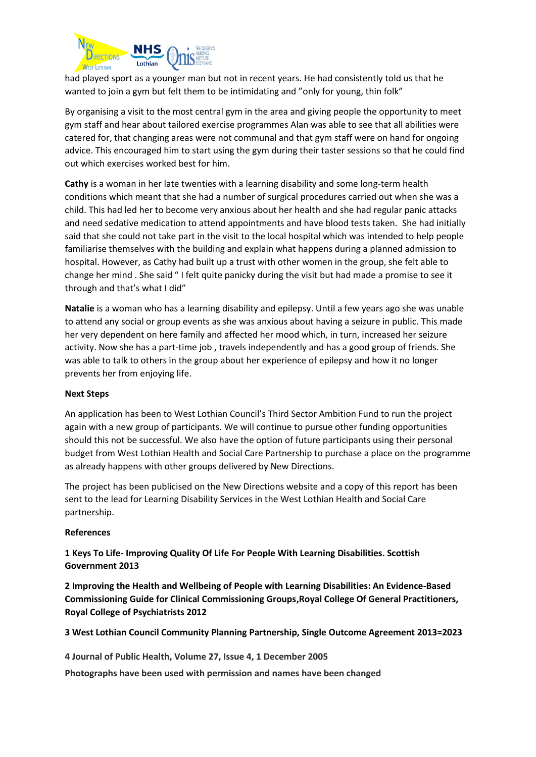

had played sport as a younger man but not in recent years. He had consistently told us that he wanted to join a gym but felt them to be intimidating and "only for young, thin folk"

By organising a visit to the most central gym in the area and giving people the opportunity to meet gym staff and hear about tailored exercise programmes Alan was able to see that all abilities were catered for, that changing areas were not communal and that gym staff were on hand for ongoing advice. This encouraged him to start using the gym during their taster sessions so that he could find out which exercises worked best for him.

**Cathy** is a woman in her late twenties with a learning disability and some long-term health conditions which meant that she had a number of surgical procedures carried out when she was a child. This had led her to become very anxious about her health and she had regular panic attacks and need sedative medication to attend appointments and have blood tests taken. She had initially said that she could not take part in the visit to the local hospital which was intended to help people familiarise themselves with the building and explain what happens during a planned admission to hospital. However, as Cathy had built up a trust with other women in the group, she felt able to change her mind . She said " I felt quite panicky during the visit but had made a promise to see it through and that's what I did"

**Natalie** is a woman who has a learning disability and epilepsy. Until a few years ago she was unable to attend any social or group events as she was anxious about having a seizure in public. This made her very dependent on here family and affected her mood which, in turn, increased her seizure activity. Now she has a part-time job , travels independently and has a good group of friends. She was able to talk to others in the group about her experience of epilepsy and how it no longer prevents her from enjoying life.

#### **Next Steps**

An application has been to West Lothian Council's Third Sector Ambition Fund to run the project again with a new group of participants. We will continue to pursue other funding opportunities should this not be successful. We also have the option of future participants using their personal budget from West Lothian Health and Social Care Partnership to purchase a place on the programme as already happens with other groups delivered by New Directions.

The project has been publicised on the New Directions website and a copy of this report has been sent to the lead for Learning Disability Services in the West Lothian Health and Social Care partnership.

#### **References**

**1 Keys To Life- Improving Quality Of Life For People With Learning Disabilities. Scottish Government 2013**

**2 Improving the Health and Wellbeing of People with Learning Disabilities: An Evidence-Based Commissioning Guide for Clinical Commissioning Groups,Royal College Of General Practitioners, Royal College of Psychiatrists 2012**

#### **3 West Lothian Council Community Planning Partnership, Single Outcome Agreement 2013=2023**

**4 Journal of Public Health, Volume 27, Issue 4, 1 December 2005**

**Photographs have been used with permission and names have been changed**